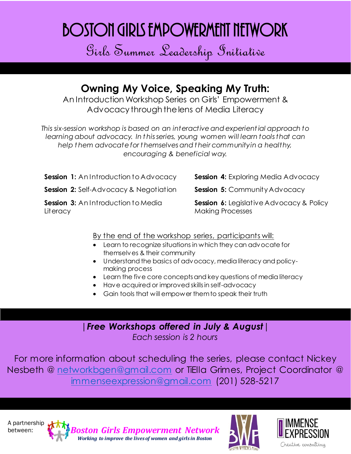## Boston Girls Empowerment Network

Girls Summer Leadership Initiative

## **Owning My Voice, Speaking My Truth:**

An Introduction Workshop Series on Girls' Empowerment & Advocacy through the lens of Media Literacy

*This six-session workshop is based on an interactive and experient ial approach to learning about advocacy. In t his series, young women will learn tools that can help t hem advocate for t hemselves and t heir community in a healthy, encouraging & beneficial way.*

**Session 1:** An Introduction to Advocacy **Session 4:** Exploring Media Advocacy

**Session 2:** Self-Advocacy & Negotiation **Session 5:** Community Advocacy

**Session 3:** An Introduction to Media **Literacy** 

**Session 6:** Legislative Advocacy & Policy Making Processes

## By the end of the workshop series, participants will:

- Learn to recognize situations in which they can advocate for themselves & their community
- Understand the basics of advocacy, media literacy and policymaking process
- Learn the five core concepts and key questions of media literacy
- Have acquired or improved skills in self-advocacy
- Gain tools that will empower them to speak their truth

|*Free Workshops offered in July & August*| *Each session is 2 hours*

For more information about scheduling the series, please contact Nickey Nesbeth @ [networkbgen@gmail.com](mailto:networkbgen@gmail.com) or TiElla Grimes, Project Coordinator @ [immenseexpression@gmail.com](mailto:immenseexpression@gmail.com) (201) 528-5217